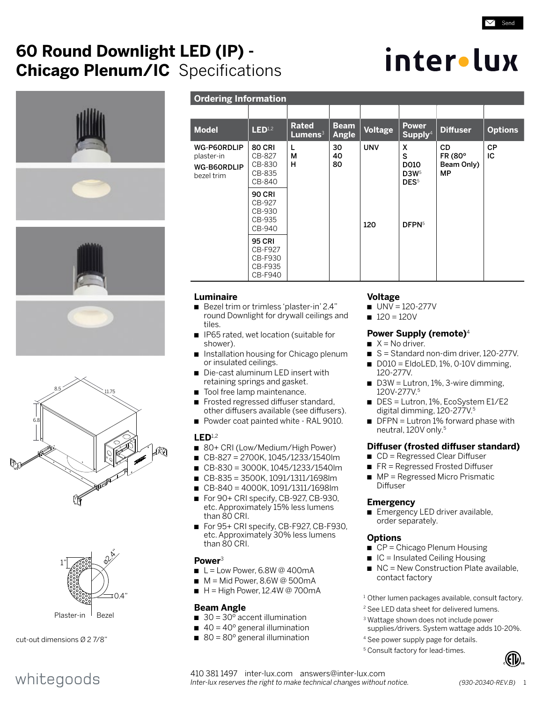## **60 Round Downlight LED (IP) - Chicago Plenum/IC** Specifications

## inter•lux

 $\angle$  Send











Plaster-in Bezel

cut-out dimensions Ø 2 7/8"

whitegoods

## **Ordering Information**

| <b>Model</b>                                           | LED <sup>1,2</sup>                                        | <b>Rated</b><br>$L$ umens $3$ | <b>Beam</b><br>Angle | Voltage    | <b>Power</b><br>$S$ upply <sup>4</sup>                 | <b>Diffuser</b>                   | <b>Options</b>  |
|--------------------------------------------------------|-----------------------------------------------------------|-------------------------------|----------------------|------------|--------------------------------------------------------|-----------------------------------|-----------------|
| WG-P60RDLIP<br>plaster-in<br>WG-B60RDLIP<br>bezel trim | <b>80 CRI</b><br>CB-827<br>CB-830<br>CB-835<br>CB-840     | L<br>М<br>н                   | 30<br>40<br>80       | <b>UNV</b> | X<br>S<br>D010<br>D3W <sub>5</sub><br>DES <sup>5</sup> | CD<br>FR (80°<br>Beam Only)<br>MP | <b>CP</b><br>IС |
|                                                        | <b>90 CRI</b><br>CB-927<br>CB-930<br>CB-935<br>CB-940     |                               |                      | 120        | DFPN <sup>5</sup>                                      |                                   |                 |
|                                                        | <b>95 CRI</b><br>CB-F927<br>CB-F930<br>CB-F935<br>CB-F940 |                               |                      |            |                                                        |                                   |                 |

## **Luminaire**

- Bezel trim or trimless 'plaster-in' 2.4" round Downlight for drywall ceilings and tiles.
- IP65 rated, wet location (suitable for shower).
- Installation housing for Chicago plenum or insulated ceilings.
- Die-cast aluminum LED insert with retaining springs and gasket.
- Tool free lamp maintenance.
- Frosted regressed diffuser standard, other diffusers available (see diffusers).
- Powder coat painted white RAL 9010.

## **LED**1,2

- 80+ CRI (Low/Medium/High Power)
- n CB-827 = 2700K, 1045/1233/1540lm
- n CB-830 = 3000K, 1045/1233/1540lm
- n CB-835 = 3500K, 1091/1311/1698lm
- n CB-840 = 4000K, 1091/1311/1698lm
- For 90+ CRI specify, CB-927, CB-930,
- etc. Approximately 15% less lumens than 80 CRI.
- For 95+ CRI specify, CB-F927, CB-F930, etc. Approximately 30% less lumens than 80 CRI.

## **Power**<sup>3</sup>

- $L =$  Low Power, 6.8W @ 400mA
- $M = Mid Power$ , 8.6W @ 500mA
- $H = High Power, 12.4W @ 700mA$

## **Beam Angle**

- $\Box$  30 = 30 $\degree$  accent illumination
- $\blacksquare$  40 = 40 $\degree$  general illumination
- $\blacksquare$  80 = 80 $\degree$  general illumination

## **Voltage**

- $UV = 120 277V$
- $120 = 120V$

## **Power Supply (remote)**<sup>4</sup>

- $X = No$  driver.
- $S =$  Standard non-dim driver, 120-277V.
- $\Box$  D010 = EldoLED, 1%, 0-10V dimming, 120-277V.
- $\blacksquare$  D3W = Lutron, 1%, 3-wire dimming, 120V-277V.5
- $\blacksquare$  DES = Lutron, 1%, EcoSystem E1/E2 digital dimming, 120-277V.5
- $\blacksquare$  DFPN = Lutron 1% forward phase with neutral, 120V only.<sup>5</sup>

## **Diffuser (frosted diffuser standard)**

- $\Box$  CD = Regressed Clear Diffuser
- $R =$  Regressed Frosted Diffuser
- $\rightharpoonup$  MP = Regressed Micro Prismatic Diffuser

## **Emergency**

**Emergency LED driver available,** order separately.

## **Options**

- $\blacksquare$  CP = Chicago Plenum Housing
- $\Box$  IC = Insulated Ceiling Housing
- $\blacksquare$  NC = New Construction Plate available, contact factory
- <sup>1</sup> Other lumen packages available, consult factory.
- 2 See LED data sheet for delivered lumens.
- <sup>3</sup> Wattage shown does not include power supplies/drivers. System wattage adds 10-20%.
- 4 See power supply page for details.
- <sup>5</sup> Consult factory for lead-times.



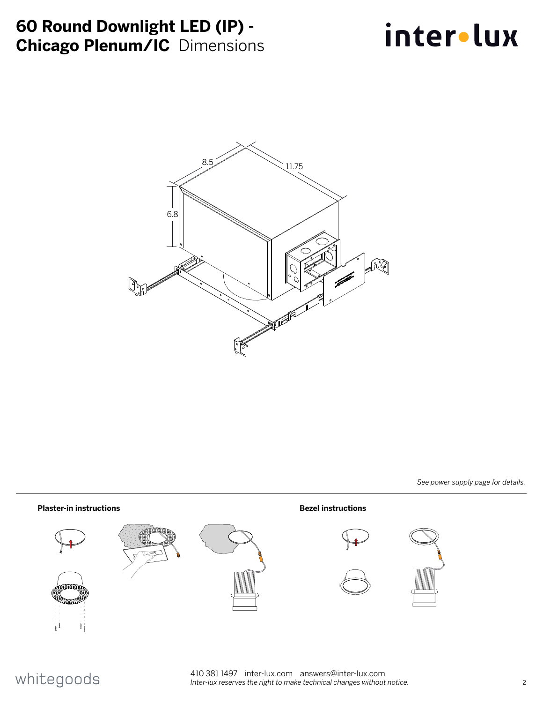## **60 Round Downlight LED (IP) - Chicago Plenum/IC** Dimensions

# inter.lux



*See power supply page for details.*



## whitegoods